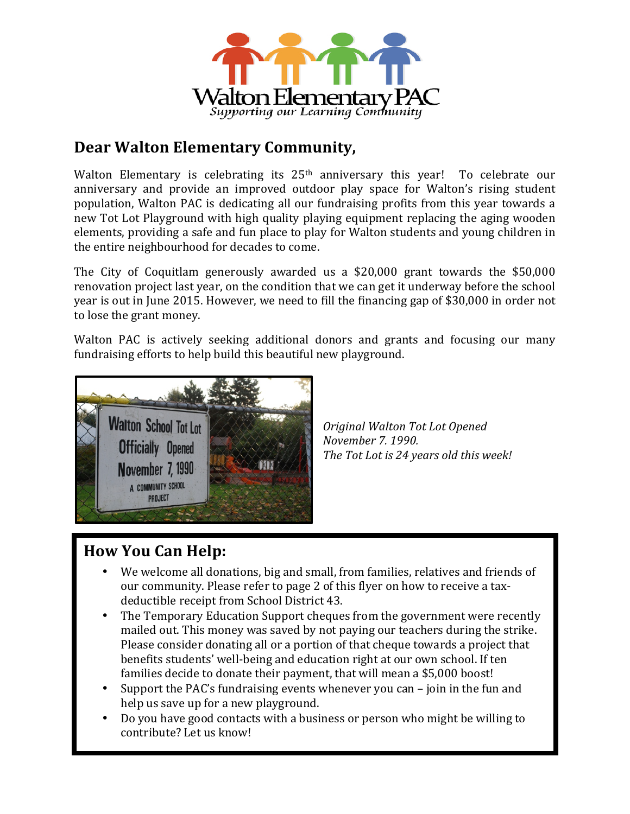

## **Dear Walton Elementary Community,**

Walton Elementary is celebrating its  $25<sup>th</sup>$  anniversary this year! To celebrate our anniversary and provide an improved outdoor play space for Walton's rising student population, Walton PAC is dedicating all our fundraising profits from this year towards a new Tot Lot Playground with high quality playing equipment replacing the aging wooden elements, providing a safe and fun place to play for Walton students and young children in the entire neighbourhood for decades to come.

The City of Coquitlam generously awarded us a  $$20,000$  grant towards the  $$50,000$ renovation project last year, on the condition that we can get it underway before the school year is out in June 2015. However, we need to fill the financing gap of \$30,000 in order not to lose the grant money.

Walton PAC is actively seeking additional donors and grants and focusing our many fundraising efforts to help build this beautiful new playground.



*Original Walton Tot Lot Opened November 7. 1990.* The Tot Lot is 24 years old this week!

## **How You Can Help:**

- We welcome all donations, big and small, from families, relatives and friends of our community. Please refer to page 2 of this flyer on how to receive a taxdeductible receipt from School District 43.
- The Temporary Education Support cheques from the government were recently mailed out. This money was saved by not paying our teachers during the strike. Please consider donating all or a portion of that cheque towards a project that benefits students' well-being and education right at our own school. If ten families decide to donate their payment, that will mean a \$5,000 boost!
- Support the PAC's fundraising events whenever you can  $-$  join in the fun and help us save up for a new playground.
- Do you have good contacts with a business or person who might be willing to contribute? Let us know!